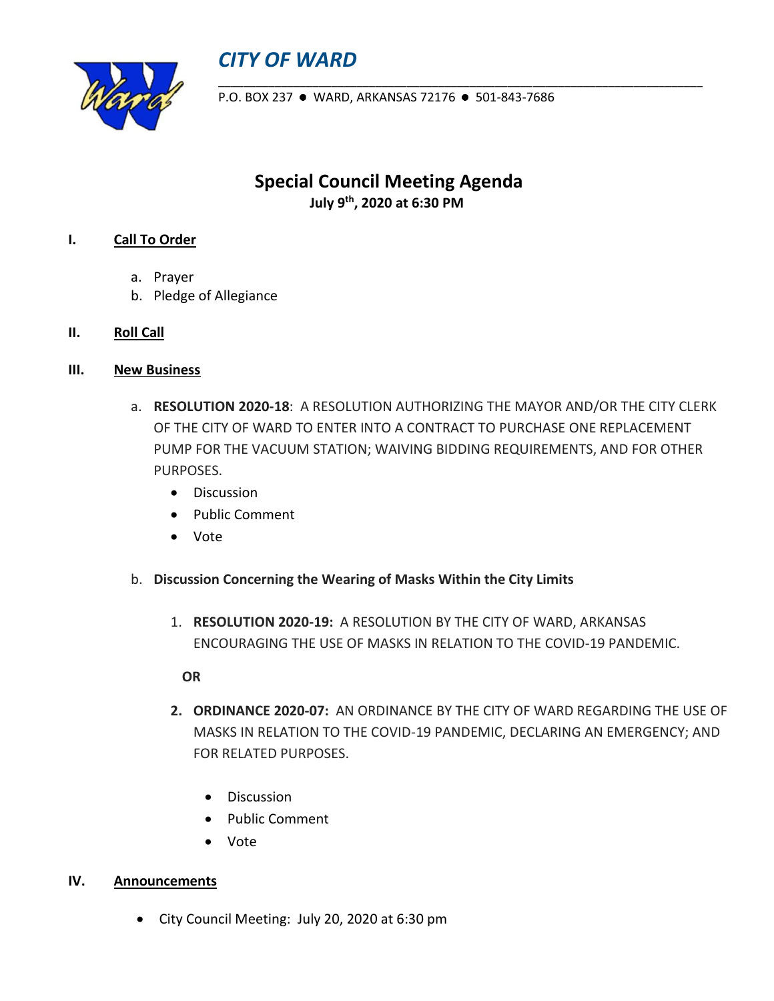## *CITY OF WARD*



P.O. BOX 237 · WARD, ARKANSAS 72176 · 501-843-7686

\_\_\_\_\_\_\_\_\_\_\_\_\_\_\_\_\_\_\_\_\_\_\_\_\_\_\_\_\_\_\_\_\_\_\_\_\_\_\_\_\_\_\_\_\_\_\_\_\_\_\_\_\_\_\_\_\_\_\_\_\_\_\_\_\_\_\_\_\_\_\_\_\_\_\_\_\_

**Special Council Meeting Agenda July 9 th, 2020 at 6:30 PM**

## **I. Call To Order**

- a. Prayer
- b. Pledge of Allegiance
- **II. Roll Call**
- **III. New Business** 
	- a. **RESOLUTION 2020-18**: A RESOLUTION AUTHORIZING THE MAYOR AND/OR THE CITY CLERK OF THE CITY OF WARD TO ENTER INTO A CONTRACT TO PURCHASE ONE REPLACEMENT PUMP FOR THE VACUUM STATION; WAIVING BIDDING REQUIREMENTS, AND FOR OTHER PURPOSES.
		- Discussion
		- Public Comment
		- Vote
	- b. **Discussion Concerning the Wearing of Masks Within the City Limits**
		- 1. **RESOLUTION 2020-19:** A RESOLUTION BY THE CITY OF WARD, ARKANSAS ENCOURAGING THE USE OF MASKS IN RELATION TO THE COVID-19 PANDEMIC.

**OR**

- **2. ORDINANCE 2020-07:** AN ORDINANCE BY THE CITY OF WARD REGARDING THE USE OF MASKS IN RELATION TO THE COVID-19 PANDEMIC, DECLARING AN EMERGENCY; AND FOR RELATED PURPOSES.
	- Discussion
	- Public Comment
	- Vote

## **IV. Announcements**

• City Council Meeting: July 20, 2020 at 6:30 pm